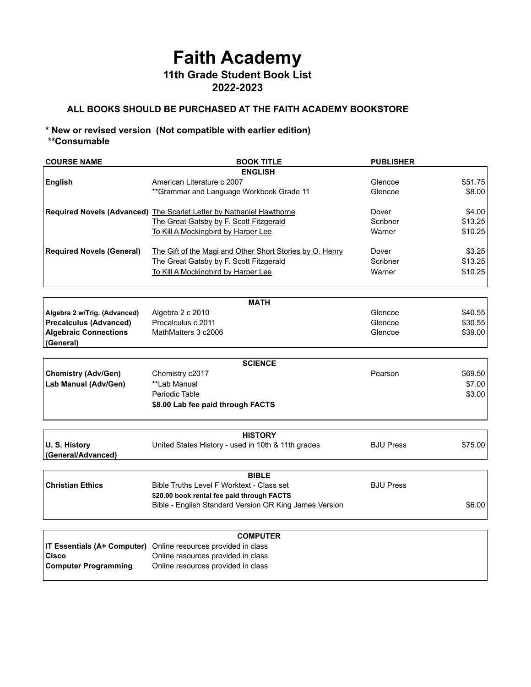## **Faith Academy 11th Grade Student Book List 2022-2023**

## **ALL BOOKS SHOULD BE PURCHASED AT THE FAITH ACADEMY BOOKSTORE**

## **\* New or revised version (Not compatible with earlier edition) \*\*Consumable**

| <b>COURSE NAME</b>                 | <b>BOOK TITLE</b>                                                    | <b>PUBLISHER</b> |         |  |  |
|------------------------------------|----------------------------------------------------------------------|------------------|---------|--|--|
|                                    | <b>ENGLISH</b>                                                       |                  |         |  |  |
| <b>English</b>                     | American Literature c 2007                                           | Glencoe          | \$51.75 |  |  |
|                                    | ** Grammar and Language Workbook Grade 11                            | Glencoe          | \$8.00  |  |  |
|                                    | Required Novels (Advanced) The Scarlet Letter by Nathaniel Hawthorne | Dover            | \$4.00  |  |  |
|                                    | The Great Gatsby by F. Scott Fitzgerald                              | Scribner         | \$13.25 |  |  |
|                                    | To Kill A Mockingbird by Harper Lee                                  | Warner           | \$10.25 |  |  |
| <b>Required Novels (General)</b>   | The Gift of the Magi and Other Short Stories by O. Henry             | Dover            | \$3.25  |  |  |
|                                    | The Great Gatsby by F. Scott Fitzgerald                              | Scribner         | \$13.25 |  |  |
|                                    | To Kill A Mockingbird by Harper Lee                                  | Warner           | \$10.25 |  |  |
|                                    |                                                                      |                  |         |  |  |
|                                    | <b>MATH</b>                                                          | Glencoe          | \$40.55 |  |  |
| Algebra 2 w/Trig. (Advanced)       | Algebra 2 c 2010<br>Precalculus c 2011                               | Glencoe          |         |  |  |
| <b>Precalculus (Advanced)</b>      |                                                                      |                  | \$30.55 |  |  |
| <b>Algebraic Connections</b>       | MathMatters 3 c2006                                                  | Glencoe          | \$39.00 |  |  |
| (General)                          |                                                                      |                  |         |  |  |
|                                    | <b>SCIENCE</b>                                                       |                  |         |  |  |
| <b>Chemistry (Adv/Gen)</b>         | Chemistry c2017                                                      | Pearson          | \$69.50 |  |  |
| Lab Manual (Adv/Gen)               | **Lab Manual                                                         |                  | \$7.00  |  |  |
|                                    | Periodic Table                                                       |                  | \$3.00  |  |  |
|                                    | \$8.00 Lab fee paid through FACTS                                    |                  |         |  |  |
|                                    |                                                                      |                  |         |  |  |
| <b>HISTORY</b>                     |                                                                      |                  |         |  |  |
| U.S. History<br>(General/Advanced) | United States History - used in 10th & 11th grades                   | <b>BJU Press</b> | \$75.00 |  |  |
|                                    |                                                                      |                  |         |  |  |
|                                    | <b>BIBLE</b>                                                         |                  |         |  |  |
| <b>Christian Ethics</b>            | Bible Truths Level F Worktext - Class set                            | <b>BJU Press</b> |         |  |  |
|                                    | \$20.00 book rental fee paid through FACTS                           |                  |         |  |  |
|                                    | Bible - English Standard Version OR King James Version               |                  | \$6.00  |  |  |
|                                    | <b>COMPUTER</b>                                                      |                  |         |  |  |
| IT Essentials (A+ Computer)        | Online resources provided in class                                   |                  |         |  |  |
| Cisco                              | Online resources provided in class                                   |                  |         |  |  |
| <b>Computer Programming</b>        | Online resources provided in class                                   |                  |         |  |  |
|                                    |                                                                      |                  |         |  |  |